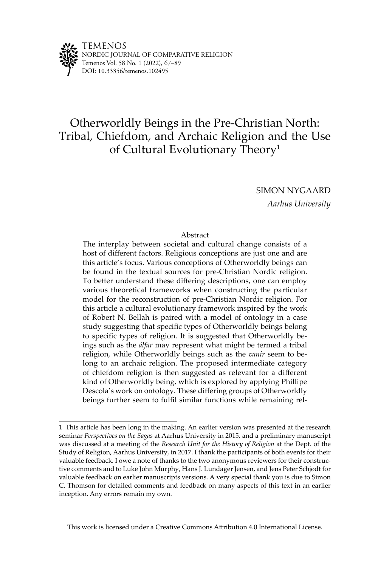

# Otherworldly Beings in the Pre-Christian North: Tribal, Chiefdom, and Archaic Religion and the Use of Cultural Evolutionary Theory<sup>1</sup>

SIMON NYGAARD

*Aarhus University*

#### Abstract

The interplay between societal and cultural change consists of a host of different factors. Religious conceptions are just one and are this article's focus. Various conceptions of Otherworldly beings can be found in the textual sources for pre-Christian Nordic religion. To better understand these differing descriptions, one can employ various theoretical frameworks when constructing the particular model for the reconstruction of pre-Christian Nordic religion. For this article a cultural evolutionary framework inspired by the work of Robert N. Bellah is paired with a model of ontology in a case study suggesting that specific types of Otherworldly beings belong to specific types of religion. It is suggested that Otherworldly beings such as the *álfar* may represent what might be termed a tribal religion, while Otherworldly beings such as the *vanir* seem to belong to an archaic religion. The proposed intermediate category of chiefdom religion is then suggested as relevant for a different kind of Otherworldly being, which is explored by applying Phillipe Descola's work on ontology. These differing groups of Otherworldly beings further seem to fulfil similar functions while remaining rel-

This work is licensed under a Creative Commons Attribution 4.0 International License.

<sup>1</sup> This article has been long in the making. An earlier version was presented at the research seminar *Perspectives on the Sagas* at Aarhus University in 2015, and a preliminary manuscript was discussed at a meeting of the *Research Unit for the History of Religion* at the Dept. of the Study of Religion, Aarhus University, in 2017. I thank the participants of both events for their valuable feedback. I owe a note of thanks to the two anonymous reviewers for their constructive comments and to Luke John Murphy, Hans J. Lundager Jensen, and Jens Peter Schjødt for valuable feedback on earlier manuscripts versions. A very special thank you is due to Simon C. Thomson for detailed comments and feedback on many aspects of this text in an earlier inception. Any errors remain my own.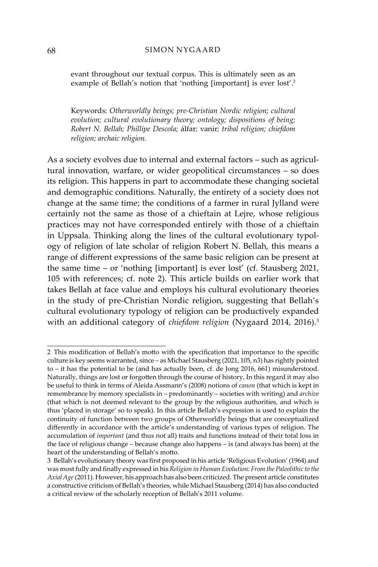evant throughout our textual corpus. This is ultimately seen as an example of Bellah's notion that 'nothing [important] is ever lost'.<sup>2</sup>

Keywords: *Otherworldly beings; pre-Christian Nordic religion; cultural evolution; cultural evolutionary theory; ontology; dispositions of being; Robert N. Bellah; Phillipe Descola;* álfar*;* vanir*; tribal religion; chiefdom religion; archaic religion.*

As a society evolves due to internal and external factors – such as agricultural innovation, warfare, or wider geopolitical circumstances – so does its religion. This happens in part to accommodate these changing societal and demographic conditions. Naturally, the entirety of a society does not change at the same time; the conditions of a farmer in rural Jylland were certainly not the same as those of a chieftain at Lejre, whose religious practices may not have corresponded entirely with those of a chieftain in Uppsala. Thinking along the lines of the cultural evolutionary typology of religion of late scholar of religion Robert N. Bellah, this means a range of different expressions of the same basic religion can be present at the same time – or 'nothing [important] is ever lost' (cf. Stausberg 2021, 105 with references; cf. note 2). This article builds on earlier work that takes Bellah at face value and employs his cultural evolutionary theories in the study of pre-Christian Nordic religion, suggesting that Bellah's cultural evolutionary typology of religion can be productively expanded with an additional category of *chiefdom religion* (Nygaard 2014, 2016).<sup>3</sup>

<sup>2</sup> This modification of Bellah's motto with the specification that importance to the specific culture is key seems warranted, since – as Michael Stausberg (2021, 105, n3) has rightly pointed to – it has the potential to be (and has actually been, cf. de Jong 2016, 661) misunderstood. Naturally, things are lost or forgotten through the course of history. In this regard it may also be useful to think in terms of Aleida Assmann's (2008) notions of *canon* (that which is kept in remembrance by memory specialists in – predominantly – societies with writing) and *archive* (that which is not deemed relevant to the group by the religious authorities, and which is thus 'placed in storage' so to speak). In this article Bellah's expression is used to explain the continuity of function between two groups of Otherworldly beings that are conceptualized differently in accordance with the article's understanding of various types of religion. The accumulation of *important* (and thus not all) traits and functions instead of their total loss in the face of religious change – because change also happens – is (and always has been) at the heart of the understanding of Bellah's motto.

<sup>3</sup> Bellah's evolutionary theory was first proposed in his article 'Religious Evolution' (1964) and was most fully and finally expressed in his *Religion in Human Evolution: From the Paleolithic to the Axial Age* (2011). However, his approach has also been criticized. The present article constitutes a constructive criticism of Bellah's theories, while Michael Stausberg (2014) has also conducted a critical review of the scholarly reception of Bellah's 2011 volume.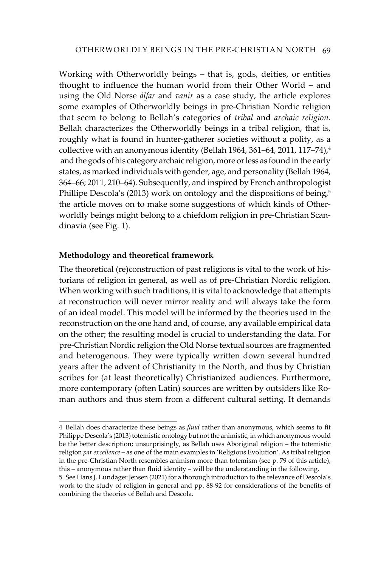Working with Otherworldly beings – that is, gods, deities, or entities thought to influence the human world from their Other World – and using the Old Norse *álfar* and *vanir* as a case study, the article explores some examples of Otherworldly beings in pre-Christian Nordic religion that seem to belong to Bellah's categories of *tribal* and *archaic religion*. Bellah characterizes the Otherworldly beings in a tribal religion, that is, roughly what is found in hunter-gatherer societies without a polity, as a collective with an anonymous identity (Bellah 1964, 361–64, 2011, 117–74), $^4$  and the gods of his category archaic religion, more or less as found in the early states, as marked individuals with gender, age, and personality (Bellah 1964, 364–66; 2011, 210–64). Subsequently, and inspired by French anthropologist Phillipe Descola's (2013) work on ontology and the dispositions of being, $5$ the article moves on to make some suggestions of which kinds of Otherworldly beings might belong to a chiefdom religion in pre-Christian Scandinavia (see Fig. 1).

## **Methodology and theoretical framework**

The theoretical (re)construction of past religions is vital to the work of historians of religion in general, as well as of pre-Christian Nordic religion. When working with such traditions, it is vital to acknowledge that attempts at reconstruction will never mirror reality and will always take the form of an ideal model. This model will be informed by the theories used in the reconstruction on the one hand and, of course, any available empirical data on the other; the resulting model is crucial to understanding the data. For pre-Christian Nordic religion the Old Norse textual sources are fragmented and heterogenous. They were typically written down several hundred years after the advent of Christianity in the North, and thus by Christian scribes for (at least theoretically) Christianized audiences. Furthermore, more contemporary (often Latin) sources are written by outsiders like Roman authors and thus stem from a different cultural setting. It demands

<sup>4</sup> Bellah does characterize these beings as *fluid* rather than anonymous, which seems to fit Philippe Descola's (2013) totemistic ontology but not the animistic, in which anonymous would be the better description; unsurprisingly, as Bellah uses Aboriginal religion – the totemistic religion *par excellence* – as one of the main examples in 'Religious Evolution'. As tribal religion in the pre-Christian North resembles animism more than totemism (see p. 79 of this article), this – anonymous rather than fluid identity – will be the understanding in the following.

<sup>5</sup> See Hans J. Lundager Jensen (2021) for a thorough introduction to the relevance of Descola's work to the study of religion in general and pp. 88-92 for considerations of the benefits of combining the theories of Bellah and Descola.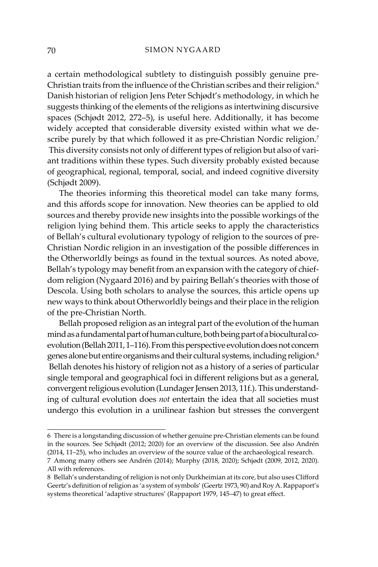a certain methodological subtlety to distinguish possibly genuine pre-Christian traits from the influence of the Christian scribes and their religion.<sup>6</sup> Danish historian of religion Jens Peter Schjødt's methodology, in which he suggests thinking of the elements of the religions as intertwining discursive spaces (Schjødt 2012, 272–5), is useful here. Additionally, it has become widely accepted that considerable diversity existed within what we describe purely by that which followed it as pre-Christian Nordic religion.<sup>7</sup> This diversity consists not only of different types of religion but also of variant traditions within these types. Such diversity probably existed because of geographical, regional, temporal, social, and indeed cognitive diversity (Schjødt 2009).

The theories informing this theoretical model can take many forms, and this affords scope for innovation. New theories can be applied to old sources and thereby provide new insights into the possible workings of the religion lying behind them. This article seeks to apply the characteristics of Bellah's cultural evolutionary typology of religion to the sources of pre-Christian Nordic religion in an investigation of the possible differences in the Otherworldly beings as found in the textual sources. As noted above, Bellah's typology may benefit from an expansion with the category of chiefdom religion (Nygaard 2016) and by pairing Bellah's theories with those of Descola. Using both scholars to analyse the sources, this article opens up new ways to think about Otherworldly beings and their place in the religion of the pre-Christian North.

Bellah proposed religion as an integral part of the evolution of the human mind as a fundamental part of human culture, both being part of a biocultural coevolution (Bellah 2011, 1–116). From this perspective evolution does not concern genes alone but entire organisms and their cultural systems, including religion.<sup>8</sup> Bellah denotes his history of religion not as a history of a series of particular single temporal and geographical foci in different religions but as a general, convergent religious evolution (Lundager Jensen 2013, 11f.). This understanding of cultural evolution does *not* entertain the idea that all societies must undergo this evolution in a unilinear fashion but stresses the convergent

<sup>6</sup> There is a longstanding discussion of whether genuine pre-Christian elements can be found in the sources. See Schjødt (2012; 2020) for an overview of the discussion. See also Andrén (2014, 11–25), who includes an overview of the source value of the archaeological research.

<sup>7</sup> Among many others see Andrén (2014); Murphy (2018, 2020); Schjødt (2009, 2012, 2020). All with references.

<sup>8</sup> Bellah's understanding of religion is not only Durkheimian at its core, but also uses Clifford Geertz's definition of religion as 'a system of symbols' (Geertz 1973, 90) and Roy A. Rappaport's systems theoretical 'adaptive structures' (Rappaport 1979, 145–47) to great effect.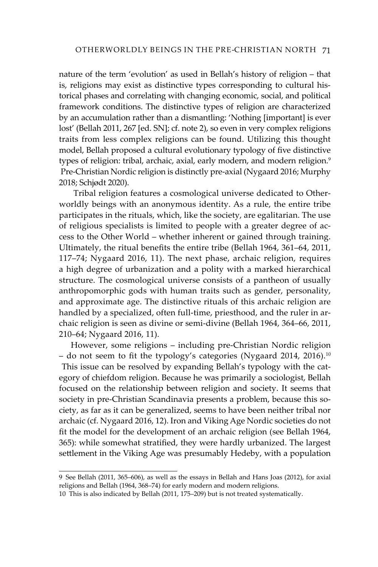nature of the term 'evolution' as used in Bellah's history of religion – that is, religions may exist as distinctive types corresponding to cultural historical phases and correlating with changing economic, social, and political framework conditions. The distinctive types of religion are characterized by an accumulation rather than a dismantling: 'Nothing [important] is ever lost' (Bellah 2011, 267 [ed. SN]; cf. note 2), so even in very complex religions traits from less complex religions can be found. Utilizing this thought model, Bellah proposed a cultural evolutionary typology of five distinctive types of religion: tribal, archaic, axial, early modern, and modern religion.<sup>9</sup> Pre-Christian Nordic religion is distinctly pre-axial (Nygaard 2016; Murphy 2018; Schjødt 2020).

 Tribal religion features a cosmological universe dedicated to Otherworldly beings with an anonymous identity. As a rule, the entire tribe participates in the rituals, which, like the society, are egalitarian. The use of religious specialists is limited to people with a greater degree of access to the Other World – whether inherent or gained through training. Ultimately, the ritual benefits the entire tribe (Bellah 1964, 361–64, 2011, 117–74; Nygaard 2016, 11). The next phase, archaic religion, requires a high degree of urbanization and a polity with a marked hierarchical structure. The cosmological universe consists of a pantheon of usually anthropomorphic gods with human traits such as gender, personality, and approximate age. The distinctive rituals of this archaic religion are handled by a specialized, often full-time, priesthood, and the ruler in archaic religion is seen as divine or semi-divine (Bellah 1964, 364–66, 2011, 210–64; Nygaard 2016, 11).

However, some religions – including pre-Christian Nordic religion – do not seem to fit the typology's categories (Nygaard 2014, 2016).<sup>10</sup> This issue can be resolved by expanding Bellah's typology with the category of chiefdom religion. Because he was primarily a sociologist, Bellah focused on the relationship between religion and society. It seems that society in pre-Christian Scandinavia presents a problem, because this society, as far as it can be generalized, seems to have been neither tribal nor archaic (cf. Nygaard 2016, 12). Iron and Viking Age Nordic societies do not fit the model for the development of an archaic religion (see Bellah 1964, 365): while somewhat stratified, they were hardly urbanized. The largest settlement in the Viking Age was presumably Hedeby, with a population

<sup>9</sup> See Bellah (2011, 365–606), as well as the essays in Bellah and Hans Joas (2012), for axial religions and Bellah (1964, 368–74) for early modern and modern religions.

<sup>10</sup> This is also indicated by Bellah (2011, 175–209) but is not treated systematically.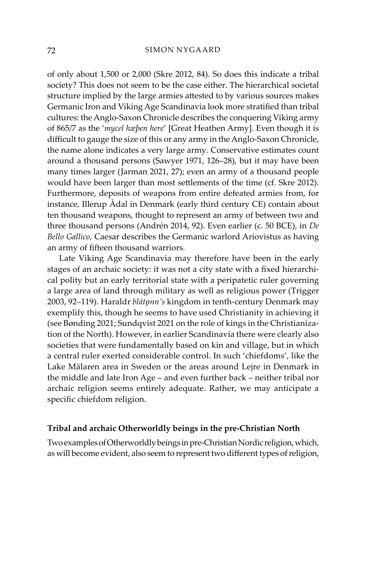of only about 1,500 or 2,000 (Skre 2012, 84). So does this indicate a tribal society? This does not seem to be the case either. The hierarchical societal structure implied by the large armies attested to by various sources makes Germanic Iron and Viking Age Scandinavia look more stratified than tribal cultures: the Anglo-Saxon Chronicle describes the conquering Viking army of 865/7 as the '*mycel hæþen here*' [Great Heathen Army]. Even though it is difficult to gauge the size of this or any army in the Anglo-Saxon Chronicle, the name alone indicates a very large army. Conservative estimates count around a thousand persons (Sawyer 1971, 126–28), but it may have been many times larger (Jarman 2021, 27); even an army of a thousand people would have been larger than most settlements of the time (cf. Skre 2012). Furthermore, deposits of weapons from entire defeated armies from, for instance, Illerup Ådal in Denmark (early third century CE) contain about ten thousand weapons, thought to represent an army of between two and three thousand persons (Andrén 2014, 92). Even earlier (c. 50 BCE), in *De Bello Gallico*, Caesar describes the Germanic warlord Ariovistus as having an army of fifteen thousand warriors.

Late Viking Age Scandinavia may therefore have been in the early stages of an archaic society: it was not a city state with a fixed hierarchical polity but an early territorial state with a peripatetic ruler governing a large area of land through military as well as religious power (Trigger 2003, 92–119). Haraldr *blátǫnn's* kingdom in tenth-century Denmark may exemplify this, though he seems to have used Christianity in achieving it (see Bønding 2021; Sundqvist 2021 on the role of kings in the Christianization of the North). However, in earlier Scandinavia there were clearly also societies that were fundamentally based on kin and village, but in which a central ruler exerted considerable control. In such 'chiefdoms', like the Lake Mälaren area in Sweden or the areas around Lejre in Denmark in the middle and late Iron Age – and even further back – neither tribal nor archaic religion seems entirely adequate. Rather, we may anticipate a specific chiefdom religion.

#### **Tribal and archaic Otherworldly beings in the pre-Christian North**

Two examples of Otherworldly beings in pre-Christian Nordic religion, which, as will become evident, also seem to represent two different types of religion,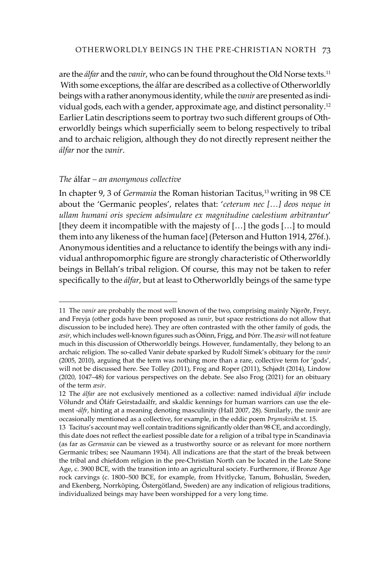are the *álfar* and the *vanir*, who can be found throughout the Old Norse texts.<sup>11</sup> With some exceptions, the álfar are described as a collective of Otherworldly beings with a rather anonymous identity, while the *vanir* are presented as individual gods, each with a gender, approximate age, and distinct personality.12 Earlier Latin descriptions seem to portray two such different groups of Otherworldly beings which superficially seem to belong respectively to tribal and to archaic religion, although they do not directly represent neither the *álfar* nor the *vanir*.

## *The* álfar *– an anonymous collective*

In chapter 9, 3 of *Germania* the Roman historian Tacitus,<sup>13</sup> writing in 98 CE about the 'Germanic peoples', relates that: '*ceterum nec […] deos neque in ullam humani oris speciem adsimulare ex magnitudine caelestium arbitrantur*' [they deem it incompatible with the majesty of […] the gods […] to mould them into any likeness of the human face] (Peterson and Hutton 1914, 276f.). Anonymous identities and a reluctance to identify the beings with any individual anthropomorphic figure are strongly characteristic of Otherworldly beings in Bellah's tribal religion. Of course, this may not be taken to refer specifically to the *álfar*, but at least to Otherworldly beings of the same type

<sup>11</sup> The *vanir* are probably the most well known of the two, comprising mainly Njǫrðr, Freyr, and Freyja (other gods have been proposed as *vanir*, but space restrictions do not allow that discussion to be included here). They are often contrasted with the other family of gods, the *æsir*, which includes well-known figures such as Óðinn, Frigg, and Þórr. The *æsir* will not feature much in this discussion of Otherworldly beings. However, fundamentally, they belong to an archaic religion. The so-called Vanir debate sparked by Rudolf Simek's obituary for the *vanir* (2005, 2010), arguing that the term was nothing more than a rare, collective term for 'gods', will not be discussed here. See Tolley (2011), Frog and Roper (2011), Schjødt (2014), Lindow (2020, 1047–48) for various perspectives on the debate. See also Frog (2021) for an obituary of the term *æsir*.

<sup>12</sup> The *álfar* are not exclusively mentioned as a collective: named individual *álfar* include Völundr and Óláfr Geirstadaálfr, and skaldic kennings for human warriors can use the element -*álfr*, hinting at a meaning denoting masculinity (Hall 2007, 28). Similarly, the *vanir* are occasionally mentioned as a collective, for example, in the eddic poem *Þrymskviða* st. 15.

<sup>13</sup> Tacitus's account may well contain traditions significantly older than 98 CE, and accordingly, this date does not reflect the earliest possible date for a religion of a tribal type in Scandinavia (as far as *Germania* can be viewed as a trustworthy source or as relevant for more northern Germanic tribes; see Naumann 1934). All indications are that the start of the break between the tribal and chiefdom religion in the pre-Christian North can be located in the Late Stone Age, c. 3900 BCE, with the transition into an agricultural society. Furthermore, if Bronze Age rock carvings (c. 1800–500 BCE, for example, from Hvitlycke, Tanum, Bohuslän, Sweden, and Ekenberg, Norrköping, Östergötland, Sweden) are any indication of religious traditions, individualized beings may have been worshipped for a very long time.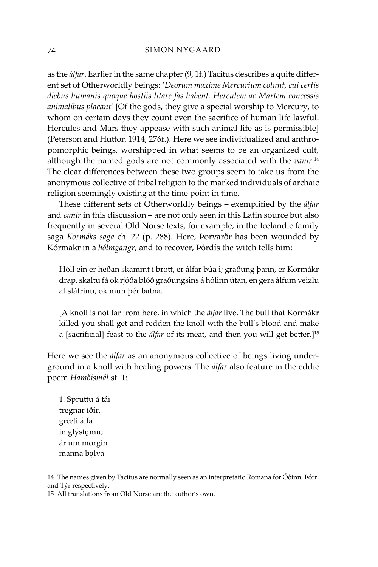as the *álfar*. Earlier in the same chapter (9, 1f.) Tacitus describes a quite different set of Otherworldly beings: '*Deorum maxime Mercurium colunt, cui certis diebus humanis quoque hostiis litare fas habent. Herculem ac Martem concessis animalibus placant*' [Of the gods, they give a special worship to Mercury, to whom on certain days they count even the sacrifice of human life lawful. Hercules and Mars they appease with such animal life as is permissible] (Peterson and Hutton 1914, 276f.). Here we see individualized and anthropomorphic beings, worshipped in what seems to be an organized cult, although the named gods are not commonly associated with the *vanir*. 14 The clear differences between these two groups seem to take us from the anonymous collective of tribal religion to the marked individuals of archaic religion seemingly existing at the time point in time.

These different sets of Otherworldly beings – exemplified by the *álfar* and *vanir* in this discussion – are not only seen in this Latin source but also frequently in several Old Norse texts, for example, in the Icelandic family saga *Kormáks saga* ch. 22 (p. 288). Here, Þorvarðr has been wounded by Kórmakr in a *hólmgangr*, and to recover, Þórdís the witch tells him:

Hóll ein er heðan skammt í brott, er álfar búa i; graðung þann, er Kormákr drap, skaltu fá ok rjóða blóð graðungsins á hólinn útan, en gera álfum veizlu af slátrinu, ok mun þér batna.

[A knoll is not far from here, in which the *álfar* live. The bull that Kormákr killed you shall get and redden the knoll with the bull's blood and make a [sacrificial] feast to the *álfar* of its meat, and then you will get better.]<sup>15</sup>

Here we see the *álfar* as an anonymous collective of beings living underground in a knoll with healing powers. The *álfar* also feature in the eddic poem *Hamðismál* st. 1:

1. Spruttu á tái tregnar íðir, grœti álfa in glýstǫmu; ár um morgin manna bǫlva

<sup>14</sup> The names given by Tacitus are normally seen as an interpretatio Romana for Óðinn, Þórr, and Týr respectively.

<sup>15</sup> All translations from Old Norse are the author's own.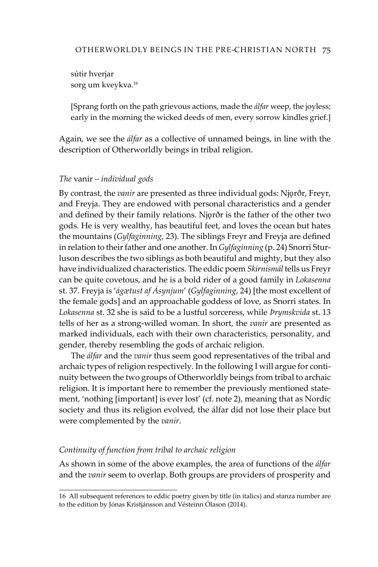sútir hverjar sorg um kveykva.<sup>16</sup>

[Sprang forth on the path grievous actions, made the *álfar* weep, the joyless; early in the morning the wicked deeds of men, every sorrow kindles grief.]

Again, we see the *álfar* as a collective of unnamed beings, in line with the description of Otherworldly beings in tribal religion.

#### *The* vanir *– individual gods*

By contrast, the *vanir* are presented as three individual gods: Njǫrðr, Freyr, and Freyja. They are endowed with personal characteristics and a gender and defined by their family relations. Njǫrðr is the father of the other two gods. He is very wealthy, has beautiful feet, and loves the ocean but hates the mountains (*Gylfaginning,* 23). The siblings Freyr and Freyja are defined in relation to their father and one another. In *Gylfaginning* (p. 24) Snorri Sturluson describes the two siblings as both beautiful and mighty, but they also have individualized characteristics. The eddic poem *Skírnismál* tells us Freyr can be quite covetous, and he is a bold rider of a good family in *Lokasenna* st. 37. Freyja is '*ágætust af Ásynjum*' (*Gylfaginning*, 24) [the most excellent of the female gods] and an approachable goddess of love, as Snorri states. In *Lokasenna* st. 32 she is said to be a lustful sorceress, while *Þrymskvida* st. 13 tells of her as a strong-willed woman. In short, the *vanir* are presented as marked individuals, each with their own characteristics, personality, and gender, thereby resembling the gods of archaic religion.

The *álfar* and the *vanir* thus seem good representatives of the tribal and archaic types of religion respectively. In the following I will argue for continuity between the two groups of Otherworldly beings from tribal to archaic religion. It is important here to remember the previously mentioned statement, 'nothing [important] is ever lost' (cf. note 2), meaning that as Nordic society and thus its religion evolved, the álfar did not lose their place but were complemented by the *vanir*.

#### *Continuity of function from tribal to archaic religion*

As shown in some of the above examples, the area of functions of the *álfar* and the *vanir* seem to overlap. Both groups are providers of prosperity and

<sup>16</sup> All subsequent references to eddic poetry given by title (in italics) and stanza number are to the edition by Jónas Kristjánsson and Vésteinn Ólason (2014).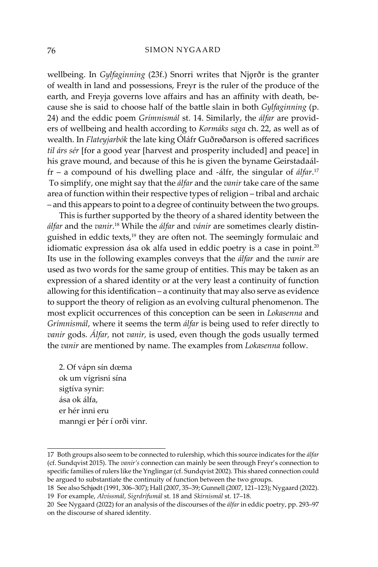wellbeing. In *Gylfaginning* (23f.) Snorri writes that Njorðr is the granter of wealth in land and possessions, Freyr is the ruler of the produce of the earth, and Freyja governs love affairs and has an affinity with death, because she is said to choose half of the battle slain in both *Gylfaginning* (p. 24) and the eddic poem *Grímnismál* st. 14. Similarly, the *álfar* are providers of wellbeing and health according to *Kormáks saga* ch. 22, as well as of wealth. In *Flateyjarbók* the late king Óláfr Guðrøðarson is offered sacrifices *til árs sér* [for a good year [harvest and prosperity included] and peace] in his grave mound, and because of this he is given the byname Geirstadaálfr – a compound of his dwelling place and -álfr, the singular of *álfar*. 17 To simplify, one might say that the *álfar* and the *vanir* take care of the same area of function within their respective types of religion – tribal and archaic – and this appears to point to a degree of continuity between the two groups.

This is further supported by the theory of a shared identity between the *álfar* and the *vanir*. <sup>18</sup> While the *álfar* and *vánir* are sometimes clearly distinguished in eddic texts,<sup>19</sup> they are often not. The seemingly formulaic and idiomatic expression ása ok alfa used in eddic poetry is a case in point.<sup>20</sup> Its use in the following examples conveys that the *álfar* and the *vanir* are used as two words for the same group of entities. This may be taken as an expression of a shared identity or at the very least a continuity of function allowing for this identification – a continuity that may also serve as evidence to support the theory of religion as an evolving cultural phenomenon. The most explicit occurrences of this conception can be seen in *Lokasenna* and *Grímnismál*, where it seems the term *álfar* is being used to refer directly to *vanir* gods. *Álfar,* not *vanir,* is used, even though the gods usually termed the *vanir* are mentioned by name. The examples from *Lokasenna* follow.

2. Of vápn sín dœma ok um vígrisni sína sigtíva synir: ása ok álfa, er hér inni eru manngi er þér í orði vinr.

<sup>17</sup> Both groups also seem to be connected to rulership, which this source indicates for the *álfar* (cf. Sundqvist 2015). The *vanir's* connection can mainly be seen through Freyr's connection to specific families of rulers like the Ynglingar (cf. Sundqvist 2002). This shared connection could be argued to substantiate the continuity of function between the two groups.

<sup>18</sup> See also Schjødt (1991, 306–307); Hall (2007, 35–39; Gunnell (2007, 121–123); Nygaard (2022). 19 For example, *Alvíssmál*, *Sigrdrifumál* st. 18 and *Skírnismál* st. 17–18.

<sup>20</sup> See Nygaard (2022) for an analysis of the discourses of the *álfar* in eddic poetry, pp. 293–97 on the discourse of shared identity.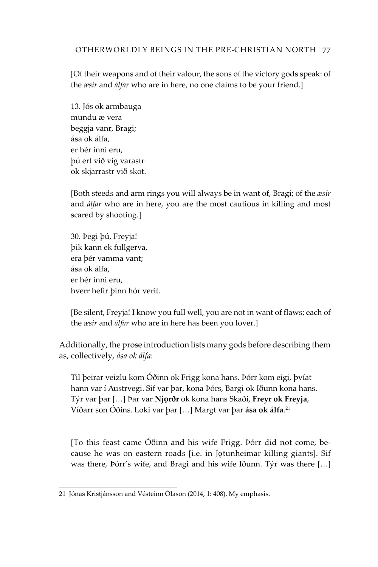# Otherworldly Beings in the Pre-Christian North 77

[Of their weapons and of their valour, the sons of the victory gods speak: of the *æsir* and *álfar* who are in here, no one claims to be your friend.]

13. Jós ok armbauga mundu æ vera beggja vanr, Bragi; ása ok álfa, er hér inni eru, þú ert við víg varastr ok skjarrastr við skot.

[Both steeds and arm rings you will always be in want of, Bragi; of the *æsir* and *álfar* who are in here, you are the most cautious in killing and most scared by shooting.]

30. Þegi þú, Freyja! þik kann ek fullgerva, era þér vamma vant; ása ok álfa, er hér inni eru, hverr hefir þinn hór verit.

[Be silent, Freyja! I know you full well, you are not in want of flaws; each of the *æsir* and *álfar* who are in here has been you lover.]

Additionally, the prose introduction lists many gods before describing them as, collectively, *ása ok álfa*:

Til þeirar veizlu kom Óðinn ok Frigg kona hans. Þórr kom eigi, þvíat hann var í Austrvegi. Sif var þar, kona Þórs, Bargi ok Iðunn kona hans. Týr var þar […] Þar var **Njǫrðr** ok kona hans Skaði, **Freyr ok Freyja**, Víðarr son Óðins. Loki var þar […] Margt var þar **ása ok álfa**. 21

[To this feast came Óðinn and his wife Frigg. Þórr did not come, because he was on eastern roads [i.e. in Jǫtunheimar killing giants]. Sif was there, Þórr's wife, and Bragi and his wife Iðunn. Týr was there […]

<sup>21</sup> Jónas Kristjánsson and Vésteinn Ólason (2014, 1: 408). My emphasis.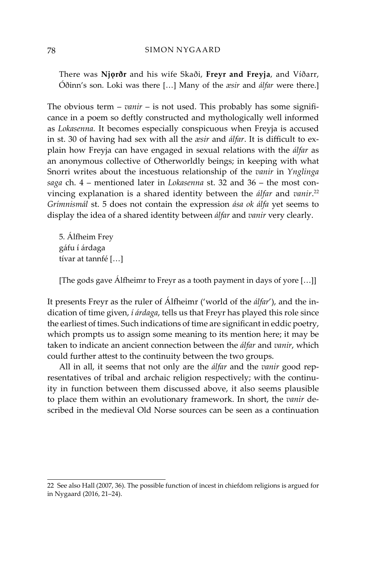There was **Njǫrðr** and his wife Skaði, **Freyr and Freyja**, and Víðarr, Óðinn's son. Loki was there […] Many of the *æsir* and *álfar* were there.]

The obvious term – *vanir* – is not used. This probably has some significance in a poem so deftly constructed and mythologically well informed as *Lokasenna.* It becomes especially conspicuous when Freyja is accused in st. 30 of having had sex with all the *æsir* and *álfar*. It is difficult to explain how Freyja can have engaged in sexual relations with the *álfar* as an anonymous collective of Otherworldly beings; in keeping with what Snorri writes about the incestuous relationship of the *vanir* in *Ynglinga saga* ch. 4 – mentioned later in *Lokasenna* st. 32 and 36 – the most convincing explanation is a shared identity between the *álfar* and *vanir*. 22 *Grímnismál* st. 5 does not contain the expression *ása ok álfa* yet seems to display the idea of a shared identity between *álfar* and *vanir* very clearly.

5. Álfheim Frey gáfu í árdaga tívar at tannfé […]

[The gods gave Álfheimr to Freyr as a tooth payment in days of yore […]]

It presents Freyr as the ruler of Álfheimr ('world of the *álfar*'), and the indication of time given, *í árdaga*, tells us that Freyr has played this role since the earliest of times. Such indications of time are significant in eddic poetry, which prompts us to assign some meaning to its mention here; it may be taken to indicate an ancient connection between the *álfar* and *vanir*, which could further attest to the continuity between the two groups.

All in all, it seems that not only are the *álfar* and the *vanir* good representatives of tribal and archaic religion respectively; with the continuity in function between them discussed above, it also seems plausible to place them within an evolutionary framework. In short, the *vanir* described in the medieval Old Norse sources can be seen as a continuation

<sup>22</sup> See also Hall (2007, 36). The possible function of incest in chiefdom religions is argued for in Nygaard (2016, 21–24).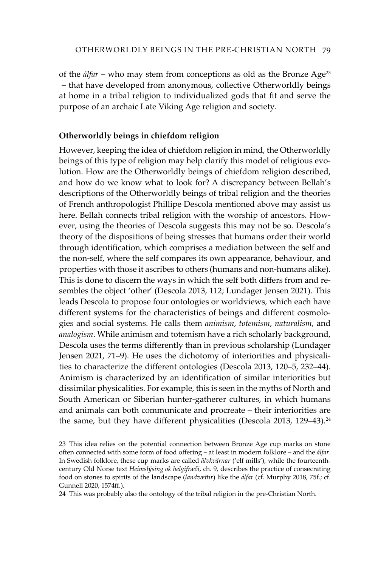of the *álfar* – who may stem from conceptions as old as the Bronze Age23 – that have developed from anonymous, collective Otherworldly beings at home in a tribal religion to individualized gods that fit and serve the purpose of an archaic Late Viking Age religion and society.

# **Otherworldly beings in chiefdom religion**

However, keeping the idea of chiefdom religion in mind, the Otherworldly beings of this type of religion may help clarify this model of religious evolution. How are the Otherworldly beings of chiefdom religion described, and how do we know what to look for? A discrepancy between Bellah's descriptions of the Otherworldly beings of tribal religion and the theories of French anthropologist Phillipe Descola mentioned above may assist us here. Bellah connects tribal religion with the worship of ancestors. However, using the theories of Descola suggests this may not be so. Descola's theory of the dispositions of being stresses that humans order their world through identification, which comprises a mediation between the self and the non-self, where the self compares its own appearance, behaviour, and properties with those it ascribes to others (humans and non-humans alike). This is done to discern the ways in which the self both differs from and resembles the object 'other' (Descola 2013, 112; Lundager Jensen 2021). This leads Descola to propose four ontologies or worldviews, which each have different systems for the characteristics of beings and different cosmologies and social systems. He calls them *animism*, *totemism*, *naturalism*, and *analogism*. While animism and totemism have a rich scholarly background, Descola uses the terms differently than in previous scholarship (Lundager Jensen 2021, 71–9). He uses the dichotomy of interiorities and physicalities to characterize the different ontologies (Descola 2013, 120–5, 232–44). Animism is characterized by an identification of similar interiorities but dissimilar physicalities. For example, this is seen in the myths of North and South American or Siberian hunter-gatherer cultures, in which humans and animals can both communicate and procreate – their interiorities are the same, but they have different physicalities (Descola 2013, 129-43).<sup>24</sup>

<sup>23</sup> This idea relies on the potential connection between Bronze Age cup marks on stone often connected with some form of food offering – at least in modern folklore – and the *álfar*. In Swedish folklore, these cup marks are called *älvkvärnar* ('elf mills'), while the fourteenthcentury Old Norse text *Heimslýsing ok helgifræði*, ch. 9, describes the practice of consecrating food on stones to spirits of the landscape (*landvættir*) like the *álfar* (cf. Murphy 2018, 75f.; cf. Gunnell 2020, 1574ff.).

<sup>24</sup> This was probably also the ontology of the tribal religion in the pre-Christian North.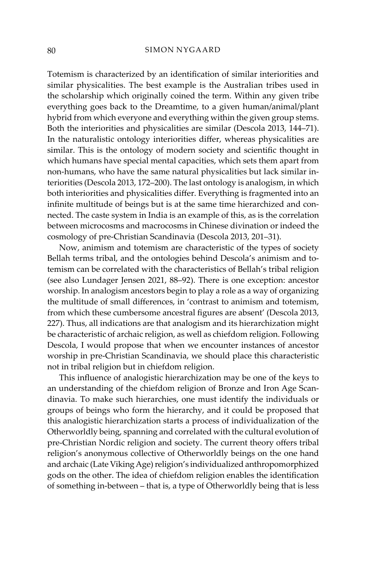Totemism is characterized by an identification of similar interiorities and similar physicalities. The best example is the Australian tribes used in the scholarship which originally coined the term. Within any given tribe everything goes back to the Dreamtime, to a given human/animal/plant hybrid from which everyone and everything within the given group stems. Both the interiorities and physicalities are similar (Descola 2013, 144–71). In the naturalistic ontology interiorities differ, whereas physicalities are similar. This is the ontology of modern society and scientific thought in which humans have special mental capacities, which sets them apart from non-humans, who have the same natural physicalities but lack similar interiorities (Descola 2013, 172–200). The last ontology is analogism, in which both interiorities and physicalities differ. Everything is fragmented into an infinite multitude of beings but is at the same time hierarchized and connected. The caste system in India is an example of this, as is the correlation between microcosms and macrocosms in Chinese divination or indeed the cosmology of pre-Christian Scandinavia (Descola 2013, 201–31).

Now, animism and totemism are characteristic of the types of society Bellah terms tribal, and the ontologies behind Descola's animism and totemism can be correlated with the characteristics of Bellah's tribal religion (see also Lundager Jensen 2021, 88–92). There is one exception: ancestor worship. In analogism ancestors begin to play a role as a way of organizing the multitude of small differences, in 'contrast to animism and totemism, from which these cumbersome ancestral figures are absent' (Descola 2013, 227). Thus, all indications are that analogism and its hierarchization might be characteristic of archaic religion, as well as chiefdom religion. Following Descola, I would propose that when we encounter instances of ancestor worship in pre-Christian Scandinavia, we should place this characteristic not in tribal religion but in chiefdom religion.

This influence of analogistic hierarchization may be one of the keys to an understanding of the chiefdom religion of Bronze and Iron Age Scandinavia. To make such hierarchies, one must identify the individuals or groups of beings who form the hierarchy, and it could be proposed that this analogistic hierarchization starts a process of individualization of the Otherworldly being, spanning and correlated with the cultural evolution of pre-Christian Nordic religion and society. The current theory offers tribal religion's anonymous collective of Otherworldly beings on the one hand and archaic (Late Viking Age) religion's individualized anthropomorphized gods on the other. The idea of chiefdom religion enables the identification of something in-between – that is, a type of Otherworldly being that is less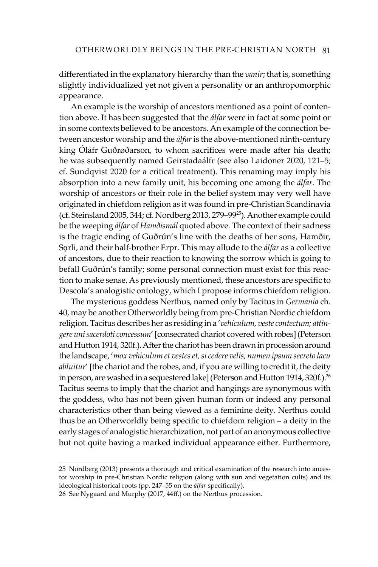differentiated in the explanatory hierarchy than the *vanir*; that is, something slightly individualized yet not given a personality or an anthropomorphic appearance.

An example is the worship of ancestors mentioned as a point of contention above. It has been suggested that the *álfar* were in fact at some point or in some contexts believed to be ancestors. An example of the connection between ancestor worship and the *álfar* is the above-mentioned ninth-century king Óláfr Guðrøðarson, to whom sacrifices were made after his death; he was subsequently named Geirstadaálfr (see also Laidoner 2020, 121–5; cf. Sundqvist 2020 for a critical treatment). This renaming may imply his absorption into a new family unit, his becoming one among the *álfar*. The worship of ancestors or their role in the belief system may very well have originated in chiefdom religion as it was found in pre-Christian Scandinavia (cf. Steinsland 2005, 344; cf. Nordberg 2013, 279–9925). Another example could be the weeping *álfar* of *Hamðismál* quoted above*.* The context of their sadness is the tragic ending of Guðrún's line with the deaths of her sons, Hamðir, Sǫrli, and their half-brother Erpr. This may allude to the *álfar* as a collective of ancestors, due to their reaction to knowing the sorrow which is going to befall Guðrún's family; some personal connection must exist for this reaction to make sense. As previously mentioned, these ancestors are specific to Descola's analogistic ontology, which I propose informs chiefdom religion.

The mysterious goddess Nerthus, named only by Tacitus in *Germania* ch. 40, may be another Otherworldly being from pre-Christian Nordic chiefdom religion. Tacitus describes her as residing in a '*vehiculum, veste contectum; attingere uni sacerdoti concessum*' [consecrated chariot covered with robes] (Peterson and Hutton 1914, 320f.). After the chariot has been drawn in procession around the landscape, '*mox vehiculum et vestes et, si cedere velis, numen ipsum secreto lacu abluitur*' [the chariot and the robes, and, if you are willing to credit it, the deity in person, are washed in a sequestered lake] (Peterson and Hutton 1914, 320f.).<sup>26</sup> Tacitus seems to imply that the chariot and hangings are synonymous with the goddess, who has not been given human form or indeed any personal characteristics other than being viewed as a feminine deity. Nerthus could thus be an Otherworldly being specific to chiefdom religion – a deity in the early stages of analogistic hierarchization, not part of an anonymous collective but not quite having a marked individual appearance either. Furthermore,

<sup>25</sup> Nordberg (2013) presents a thorough and critical examination of the research into ancestor worship in pre-Christian Nordic religion (along with sun and vegetation cults) and its ideological historical roots (pp. 247–55 on the *álfar* specifically).

<sup>26</sup> See Nygaard and Murphy (2017, 44ff.) on the Nerthus procession.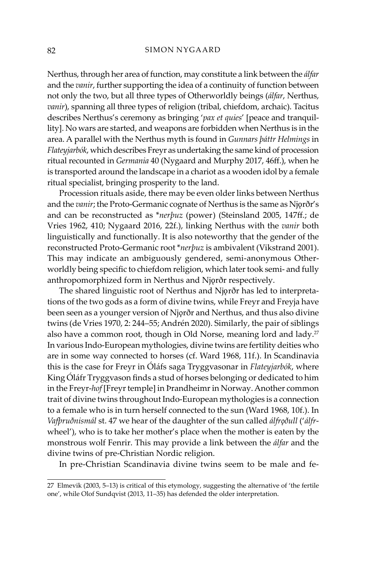Nerthus, through her area of function, may constitute a link between the *álfar* and the *vanir*, further supporting the idea of a continuity of function between not only the two, but all three types of Otherworldly beings (*álfar*, Nerthus, *vanir*), spanning all three types of religion (tribal, chiefdom, archaic). Tacitus describes Nerthus's ceremony as bringing '*pax et quies*' [peace and tranquillity]. No wars are started, and weapons are forbidden when Nerthus is in the area. A parallel with the Nerthus myth is found in *Gunnars þáttr Helmings* in *Flateyjarbók*, which describes Freyr as undertaking the same kind of procession ritual recounted in *Germania* 40 (Nygaard and Murphy 2017, 46ff.), when he is transported around the landscape in a chariot as a wooden idol by a female ritual specialist, bringing prosperity to the land.

Procession rituals aside, there may be even older links between Nerthus and the *vanir*; the Proto-Germanic cognate of Nerthus is the same as Njorðr's and can be reconstructed as \**nerþuz* (power) (Steinsland 2005, 147ff.; de Vries 1962, 410; Nygaard 2016, 22f.), linking Nerthus with the *vanir* both linguistically and functionally. It is also noteworthy that the gender of the reconstructed Proto-Germanic root \**nerþuz* is ambivalent (Vikstrand 2001). This may indicate an ambiguously gendered, semi-anonymous Otherworldly being specific to chiefdom religion, which later took semi- and fully anthropomorphized form in Nerthus and Njǫrðr respectively.

The shared linguistic root of Nerthus and Njorðr has led to interpretations of the two gods as a form of divine twins, while Freyr and Freyja have been seen as a younger version of Njorðr and Nerthus, and thus also divine twins (de Vries 1970, 2: 244–55; Andrén 2020). Similarly, the pair of siblings also have a common root, though in Old Norse, meaning lord and lady.<sup>27</sup> In various Indo-European mythologies, divine twins are fertility deities who are in some way connected to horses (cf. Ward 1968, 11f.). In Scandinavia this is the case for Freyr in Óláfs saga Tryggvasonar in *Flateyjarbók*, where King Óláfr Tryggvason finds a stud of horses belonging or dedicated to him in the Freyr-*hof* [Freyr temple] in Þrandheimr in Norway. Another common trait of divine twins throughout Indo-European mythologies is a connection to a female who is in turn herself connected to the sun (Ward 1968, 10f.). In *Vafþruðnismál* st. 47 we hear of the daughter of the sun called *álfrǫðull* ('*álfr*wheel'), who is to take her mother's place when the mother is eaten by the monstrous wolf Fenrir. This may provide a link between the *álfar* and the divine twins of pre-Christian Nordic religion.

In pre-Christian Scandinavia divine twins seem to be male and fe-

<sup>27</sup> Elmevik (2003, 5–13) is critical of this etymology, suggesting the alternative of 'the fertile one', while Olof Sundqvist (2013, 11–35) has defended the older interpretation.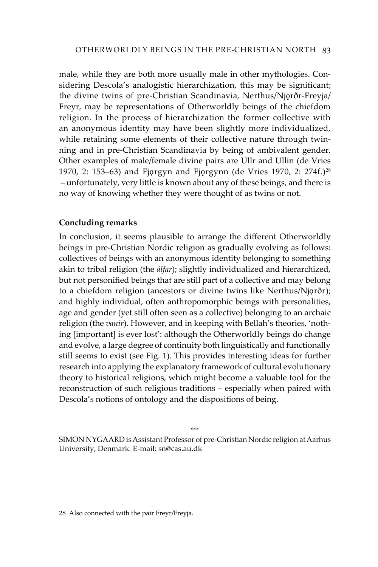male, while they are both more usually male in other mythologies. Considering Descola's analogistic hierarchization, this may be significant; the divine twins of pre-Christian Scandinavia, Nerthus/Njǫrðr-Freyja/ Freyr, may be representations of Otherworldly beings of the chiefdom religion. In the process of hierarchization the former collective with an anonymous identity may have been slightly more individualized, while retaining some elements of their collective nature through twinning and in pre-Christian Scandinavia by being of ambivalent gender. Other examples of male/female divine pairs are Ullr and Ullin (de Vries 1970, 2: 153–63) and Fjorgyn and Fjorgynn (de Vries 1970, 2: 274f.)<sup>28</sup> – unfortunately, very little is known about any of these beings, and there is no way of knowing whether they were thought of as twins or not.

# **Concluding remarks**

In conclusion, it seems plausible to arrange the different Otherworldly beings in pre-Christian Nordic religion as gradually evolving as follows: collectives of beings with an anonymous identity belonging to something akin to tribal religion (the *álfar*); slightly individualized and hierarchized, but not personified beings that are still part of a collective and may belong to a chiefdom religion (ancestors or divine twins like Nerthus/Njǫrðr); and highly individual, often anthropomorphic beings with personalities, age and gender (yet still often seen as a collective) belonging to an archaic religion (the *vanir*). However, and in keeping with Bellah's theories, 'nothing [important] is ever lost': although the Otherworldly beings do change and evolve, a large degree of continuity both linguistically and functionally still seems to exist (see Fig. 1). This provides interesting ideas for further research into applying the explanatory framework of cultural evolutionary theory to historical religions, which might become a valuable tool for the reconstruction of such religious traditions – especially when paired with Descola's notions of ontology and the dispositions of being.

\*\*\*

SIMON NYGAARD is Assistant Professor of pre-Christian Nordic religion at Aarhus University, Denmark. E-mail: sn@cas.au.dk

<sup>28</sup> Also connected with the pair Freyr/Freyja.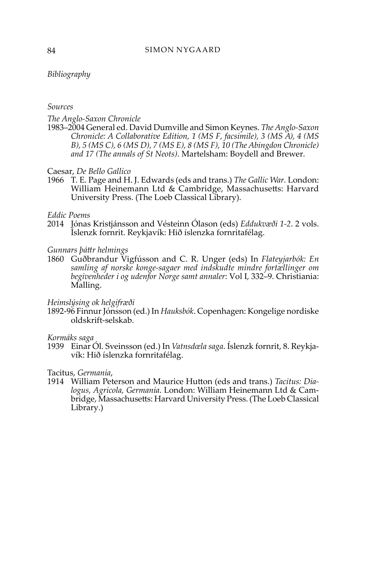#### *Bibliography*

#### *Sources*

#### *The Anglo-Saxon Chronicle*

1983–2004 General ed. David Dumville and Simon Keynes. *The Anglo-Saxon Chronicle: A Collaborative Edition, 1 (MS F, facsimile), 3 (MS A), 4 (MS B), 5 (MS C), 6 (MS D), 7 (MS E), 8 (MS F), 10 (The Abingdon Chronicle) and 17 (The annals of St Neots)*. Martelsham: Boydell and Brewer.

Caesar, *De Bello Gallico*

1966 T. E. Page and H. J. Edwards (eds and trans.) *The Gallic War.* London: William Heinemann Ltd & Cambridge, Massachusetts: Harvard University Press. (The Loeb Classical Library).

#### *Eddic Poems*

2014 Jónas Kristjánsson and Vésteinn Ólason (eds) *Eddukvæði 1-2*. 2 vols. Íslenzk fornrit. Reykjavík: Hið íslenzka fornritafélag.

#### *Gunnars þáttr helmings*

1860 Guðbrandur Vigfússon and C. R. Unger (eds) In *Flateyjarbók: En samling af norske konge-sagaer med indskudte mindre fortællinger om begivenheder i og udenfor Norge samt annaler*: Vol I, 332–9. Christiania: Malling.

#### *Heimslýsing ok helgifræði*

1892-96 Finnur Jónsson (ed.) In *Hauksbók*. Copenhagen: Kongelige nordiske oldskrift-selskab.

#### *Kormáks saga*

1939 Einar Ól. Sveinsson (ed.) In *Vatnsdœla saga*. Íslenzk fornrit, 8. Reykjavík: Hið íslenzka fornritafélag.

# Tacitus, *Germania*,

1914 William Peterson and Maurice Hutton (eds and trans.) *Tacitus: Dialogus, Agricola, Germania*. London: William Heinemann Ltd & Cambridge, Massachusetts: Harvard University Press. (The Loeb Classical Library.)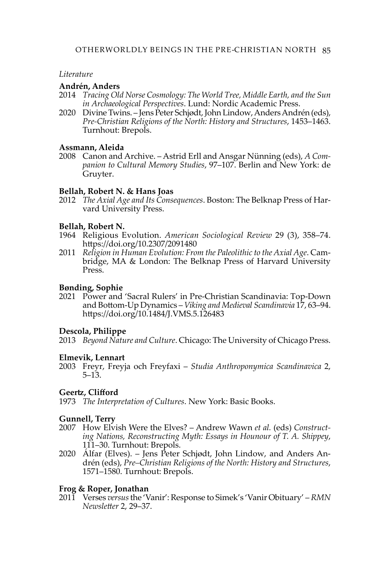#### *Literature*

## **Andrén, Anders**

- 2014 *Tracing Old Norse Cosmology: The World Tree, Middle Earth, and the Sun in Archaeological Perspectives*. Lund: Nordic Academic Press.
- 2020 Divine Twins. Jens Peter Schjødt, John Lindow, Anders Andrén (eds), *Pre-Christian Religions of the North: History and Structures*, 1453–1463. Turnhout: Brepols.

## **Assmann, Aleida**

2008 Canon and Archive. – Astrid Erll and Ansgar Nünning (eds), *A Companion to Cultural Memory Studies*, 97–107. Berlin and New York: de Gruyter.

## **Bellah, Robert N. & Hans Joas**

2012 *The Axial Age and Its Consequences*. Boston: The Belknap Press of Harvard University Press.

## **Bellah, Robert N.**

- 1964 Religious Evolution. *American Sociological Review* 29 (3), 358–74. <https://doi.org/10.2307/2091480>
- 2011 *Religion in Human Evolution: From the Paleolithic to the Axial Age*. Cambridge, MA & London: The Belknap Press of Harvard University Press.

# **Bønding, Sophie**

2021 Power and 'Sacral Rulers' in Pre-Christian Scandinavia: Top-Down and Bottom-Up Dynamics – *Viking and Medieval Scandinavia* 17, 63–94. <https://doi.org/10.1484/J.VMS.5.126483>

#### **Descola, Philippe**

2013 *Beyond Nature and Culture*. Chicago: The University of Chicago Press.

#### **Elmevik, Lennart**

2003 Freyr, Freyja och Freyfaxi – *Studia Anthroponymica Scandinavica* 2, 5–13.

# **Geertz, Clifford**

1973 *The Interpretation of Cultures*. New York: Basic Books.

#### **Gunnell, Terry**

- 2007 How Elvish Were the Elves? Andrew Wawn *et al.* (eds) *Constructing Nations, Reconstructing Myth: Essays in Hounour of T. A. Shippey*, 111–30. Turnhout: Brepols.
- 2020 Álfar (Elves). Jens Peter Schjødt, John Lindow, and Anders Andrén (eds), *Pre–Christian Religions of the North: History and Structures*, 1571–1580. Turnhout: Brepols.

# **Frog & Roper, Jonathan**

2011 Verses *versus* the 'Vanir': Response to Simek's 'Vanir Obituary' – *RMN Newsletter* 2, 29–37.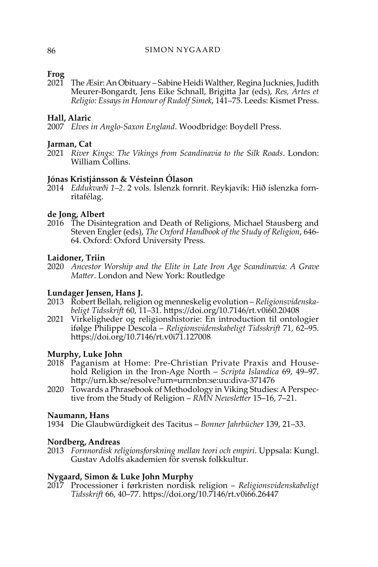# **Frog**

2021 The Æsir: An Obituary – Sabine Heidi Walther, Regina Jucknies, Judith Meurer-Bongardt, Jens Eike Schnall, Brigitta Jar (eds), *Res, Artes et Religio: Essays in Honour of Rudolf Simek*, 141–75. Leeds: Kismet Press.

## **Hall, Alaric**

2007 *Elves in Anglo-Saxon England*. Woodbridge: Boydell Press.

# **Jarman, Cat**

2021 *River Kings: The Vikings from Scandinavia to the Silk Roads*. London: William Collins.

#### **Jónas Kristjánsson & Vésteinn Ólason**

2014 *Eddukvæði 1–2*. 2 vols. Íslenzk fornrit. Reykjavík: Hið íslenzka fornritafélag.

#### **de Jong, Albert**

2016 The Disintegration and Death of Religions, Michael Stausberg and Steven Engler (eds), *The Oxford Handbook of the Study of Religion*, 646- 64. Oxford: Oxford University Press.

#### **Laidoner, Triin**

2020 *Ancestor Worship and the Elite in Late Iron Age Scandinavia: A Grave Matter*. London and New York: Routledge

#### **Lundager Jensen, Hans J.**

- 2013 Robert Bellah, religion og menneskelig evolution *Religionsvidenskabeligt Tidsskrift* 60, 11–31.<https://doi.org/10.7146/rt.v0i60.20408>
- 2021 Virkeligheder og religionshistorie: En introduction til ontologier ifølge Philippe Descola – *Religionsvidenskabeligt Tidsskrift* 71, 62–95. <https://doi.org/10.7146/rt.v0i71.127008>

#### **Murphy, Luke John**

- 2018 Paganism at Home: Pre-Christian Private Praxis and Household Religion in the Iron-Age North – *Scripta Islandica* 69, 49–97. <http://urn.kb.se/resolve?urn=urn:nbn:se:uu:diva-371476>
- 2020 Towards a Phrasebook of Methodology in Viking Studies: A Perspective from the Study of Religion – *RMN Newsletter* 15–16, 7–21.

#### **Naumann, Hans**

1934 Die Glaubwürdigkeit des Tacitus – *Bonner Jahrbücher* 139, 21–33.

#### **Nordberg, Andreas**

2013 *Fornnordisk religionsforskning mellan teori och empiri*. Uppsala: Kungl. Gustav Adolfs akademien för svensk folkkultur.

#### **Nygaard, Simon & Luke John Murphy**

2017 Processioner i førkristen nordisk religion – *Religionsvidenskabeligt Tidsskrift* 66, 40–77.<https://doi.org/10.7146/rt.v0i66.26447>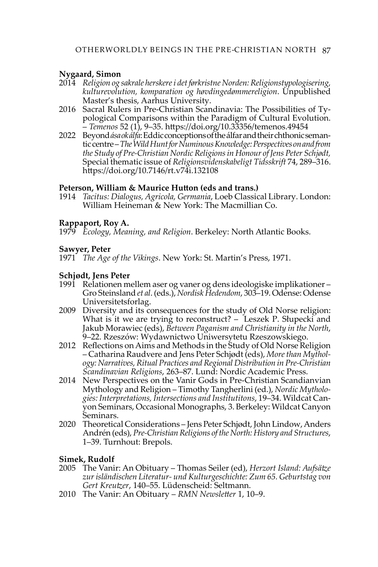# **Nygaard, Simon**

- 2014 *Religion og sakrale herskere i det førkristne Norden: Religionstypologisering, kulturevolution, komparation og høvdingedømmereligion*. Unpublished Master's thesis, Aarhus University.
- 2016 Sacral Rulers in Pre-Christian Scandinavia: The Possibilities of Typological Comparisons within the Paradigm of Cultural Evolution. – *Temenos* 52 (1), 9–35.<https://doi.org/10.33356/temenos.49454>
- 2022 Beyond *ása ok álfa*: Eddic conceptions of the álfar and their chthonicsemantic centre – *The Wild Hunt for Numinous Knowledge: Perspectives on and from the Study of Pre-Christian Nordic Religions in Honour of Jens Peter Schjødt,*  Special thematic issue of *Religionsvidenskabeligt Tidsskrift* 74, 289–316. <https://doi.org/10.7146/rt.v74i.132108>

# **Peterson, William & Maurice Hutton (eds and trans.)**

1914 *Tacitus: Dialogus, Agricola, Germania*, Loeb Classical Library. London: William Heineman & New York: The Macmillian Co.

# **Rappaport, Roy A.**

1979 *Ecology, Meaning, and Religion*. Berkeley: North Atlantic Books.

# **Sawyer, Peter**

1971 *The Age of the Vikings*. New York: St. Martin's Press, 1971.

# **Schjødt, Jens Peter**

- 1991 Relationen mellem aser og vaner og dens ideologiske implikationer Gro Steinsland *et al*. (eds.), *Nordisk Hedendom*, 303–19. Odense: Odense Universitetsforlag.
- 2009 Diversity and its consequences for the study of Old Norse religion: What is it we are trying to reconstruct? – Leszek P. Słupecki and Jakub Morawiec (eds), *Between Paganism and Christianity in the North*, 9–22. Rzeszów: Wydawnictwo Uniwersytetu Rzeszowskiego.
- 2012 Reflections on Aims and Methods in the Study of Old Norse Religion – Catharina Raudvere and Jens Peter Schjødt (eds), *More than Mythology: Narratives, Ritual Practices and Regional Distribution in Pre-Christian Scandinavian Religions*, 263–87. Lund: Nordic Academic Press.
- 2014 New Perspectives on the Vanir Gods in Pre-Christian Scandianvian Mythology and Religion – Timothy Tangherlini (ed.), *Nordic Mythologies: Interpretations, Intersections and Institutitons*, 19–34. Wildcat Canyon Seminars, Occasional Monographs, 3. Berkeley: Wildcat Canyon Seminars.
- 2020 Theoretical Considerations Jens Peter Schjødt, John Lindow, Anders Andrén (eds), *Pre-Christian Religions of the North: History and Structures*, 1–39. Turnhout: Brepols.

# **Simek, Rudolf**

- 2005 The Vanir: An Obituary Thomas Seiler (ed), *Herzort Island: Aufsätze zur isländischen Literatur- und Kulturgeschichte: Zum 65. Geburtstag von Gert Kreutzer*, 140–55. Lüdenscheid: Seltmann.
- 2010 The Vanir: An Obituary *RMN Newsletter* 1, 10–9.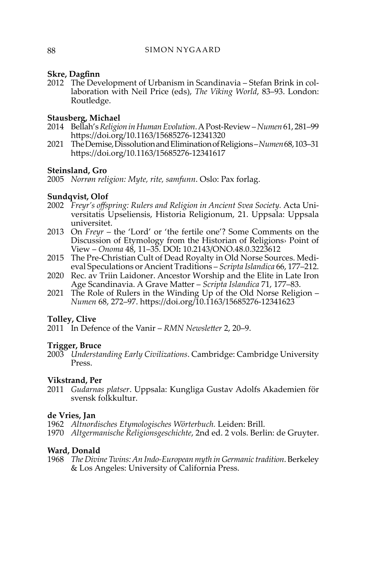## **Skre, Dagfinn**

2012 The Development of Urbanism in Scandinavia – Stefan Brink in collaboration with Neil Price (eds), *The Viking World*, 83–93. London: Routledge.

## **Stausberg, Michael**

- 2014 Bellah's *Religion in Human Evolution*. A Post-Review *Numen* 61, 281–99 <https://doi.org/10.1163/15685276-12341320>
- 2021 The Demise, Dissolution and Elimination of Religions *Numen* 68, 103–31 <https://doi.org/10.1163/15685276-12341617>

## **Steinsland, Gro**

2005 *Norrøn religion: Myte, rite, samfunn*. Oslo: Pax forlag.

## **Sundqvist, Olof**

- 2002 *Freyr's offspring: Rulers and Religion in Ancient Svea Society.* Acta Universitatis Upseliensis, Historia Religionum, 21. Uppsala: Uppsala universitet.
- 2013 On *Freyr* the 'Lord' or 'the fertile one'? Some Comments on the Discussion of Etymology from the Historian of Religions› Point of View – *[Onoma](https://poj.peeters-leuven.be/content.php?url=journal.php&journal_code=ONO)* [48,](https://poj.peeters-leuven.be/content.php?url=issue.php&journal_code=ONO&issue=0&vol=48) 11–35. DOI**:** 10.2143/ONO.48.0.3223612
- 2015 The Pre-Christian Cult of Dead Royalty in Old Norse Sources. Medieval Speculations or Ancient Traditions – *Scripta Islandica* 66, 177–212.
- 2020 Rec. av Triin Laidoner. Ancestor Worship and the Elite in Late Iron Age Scandinavia. A Grave Matter – *Scripta Islandica* 71, 177–83.
- 2021 The Role of Rulers in the Winding Up of the Old Norse Religion *Numen* 68, 272–97.<https://doi.org/10.1163/15685276-12341623>

#### **Tolley, Clive**

2011 In Defence of the Vanir – *RMN Newsletter* 2, 20–9.

#### **Trigger, Bruce**

2003 *Understanding Early Civilizations*. Cambridge: Cambridge University Press.

#### **Vikstrand, Per**

2011 *Gudarnas platser*. Uppsala: Kungliga Gustav Adolfs Akademien för svensk folkkultur.

#### **de Vries, Jan**

- 1962 *Altnordisches Etymologisches Wörterbuch.* Leiden: Brill.
- 1970 *Altgermanische Religionsgeschichte*, 2nd ed. 2 vols. Berlin: de Gruyter.

#### **Ward, Donald**

1968 *The Divine Twins: An Indo-European myth in Germanic tradition*. Berkeley & Los Angeles: University of California Press.